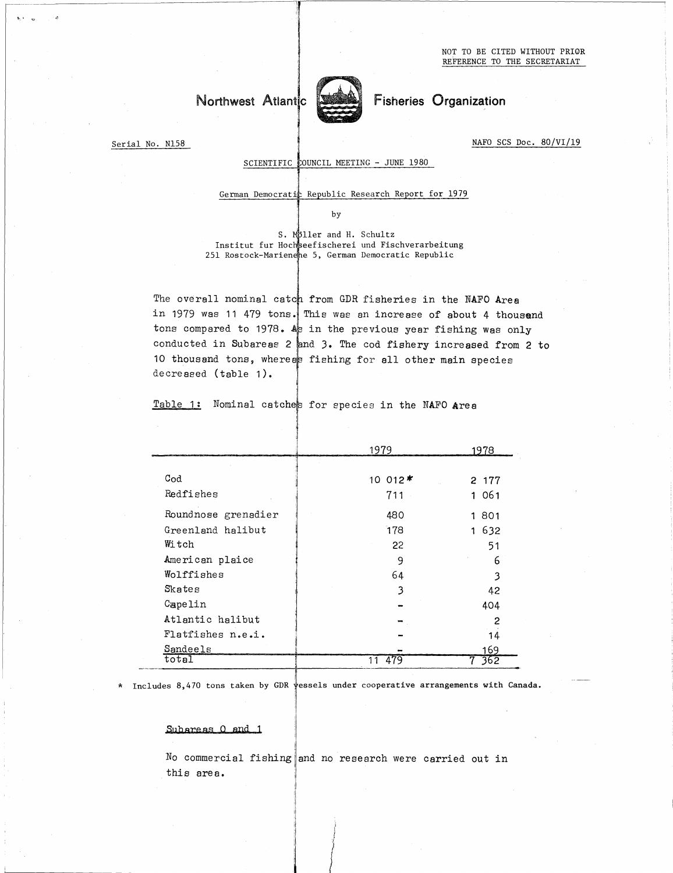NOT TO BE CITED WITHOUT PRIOR REFERENCE TO THE SECRETARIAT

# Northwest Atlantic



Fisheries Organization

Serial No. N158

 

NAFO SCS Doc. 80/VI/19

## SCIENTIFIC COUNCIL MEETING - JUNE 1980

3

## German Democratic Republic Research Report for 1979

by

S. Moller and H. Schultz Institut fur Hochseefischerei und Fischverarbeitung 251 Rostock-Mariendhe 5, German Democratic Republic

The overall nominal catch from GDR fisheries in the NAFO Area in 1979 was 11 479 tons. This was an increase of about 4 thousend tons compared to 1978. As in the previous year fishing was only conducted in Subareas 2 and 3. The cod fishery increased from 2 to 10 thousand tons, whereas fishing for all other main species decreased (table 1). isheries in the NAFO<br>
increase of about 4<br>
vious year fishing wa<br>
od fishery increased<br>
r all other main spec<br>
s in the NAFO Area<br>
1979<br>
1979<br>
1979<br>
1978<br>
2 17<br>
711<br>
1 06

| decreased (table 1). | the overall hominal catch from GDR fisheries in the NAFO Area<br>in 1979 was 11 479 tons. This was an increase of about 4 thous<br>tons compared to 1978. As in the previous year fishing was on.<br>conducted in Subareas 2 and 3. The cod fishery increased from<br>10 thousand tons, whereas fishing for all other main species |                |
|----------------------|------------------------------------------------------------------------------------------------------------------------------------------------------------------------------------------------------------------------------------------------------------------------------------------------------------------------------------|----------------|
| Table 1:             | Nominal catches for species in the NAFO Area                                                                                                                                                                                                                                                                                       |                |
|                      |                                                                                                                                                                                                                                                                                                                                    |                |
|                      | 1979                                                                                                                                                                                                                                                                                                                               | 1978           |
|                      |                                                                                                                                                                                                                                                                                                                                    |                |
| $_{\text{Cod}}$      | 10 012*                                                                                                                                                                                                                                                                                                                            | 2 177          |
| Redfishes            | 711                                                                                                                                                                                                                                                                                                                                | 1061           |
| Roundnose grenadier  | 480                                                                                                                                                                                                                                                                                                                                | 1 801          |
| Greenland halibut    | 178                                                                                                                                                                                                                                                                                                                                | 1 632          |
| Witch                | 22                                                                                                                                                                                                                                                                                                                                 | 51             |
| American plaice      | 9                                                                                                                                                                                                                                                                                                                                  | 6              |
| Wolffishes           | 64                                                                                                                                                                                                                                                                                                                                 | 3              |
| Skates               | 3                                                                                                                                                                                                                                                                                                                                  | 42             |
| Capelin              |                                                                                                                                                                                                                                                                                                                                    | 404            |
| Atlantic halibut     |                                                                                                                                                                                                                                                                                                                                    | $\overline{c}$ |
| Flatfishes n.e.i.    |                                                                                                                                                                                                                                                                                                                                    | 14             |
| Sandeels             |                                                                                                                                                                                                                                                                                                                                    | 169            |
| total                | $\overline{11}$<br>479                                                                                                                                                                                                                                                                                                             | 362            |

\* Includes 8,470 tons taken by GDR vessels under cooperative arrangements with Canada.

#### Subareas 0 and 1

No commercial fishing and no research were carried out in this area.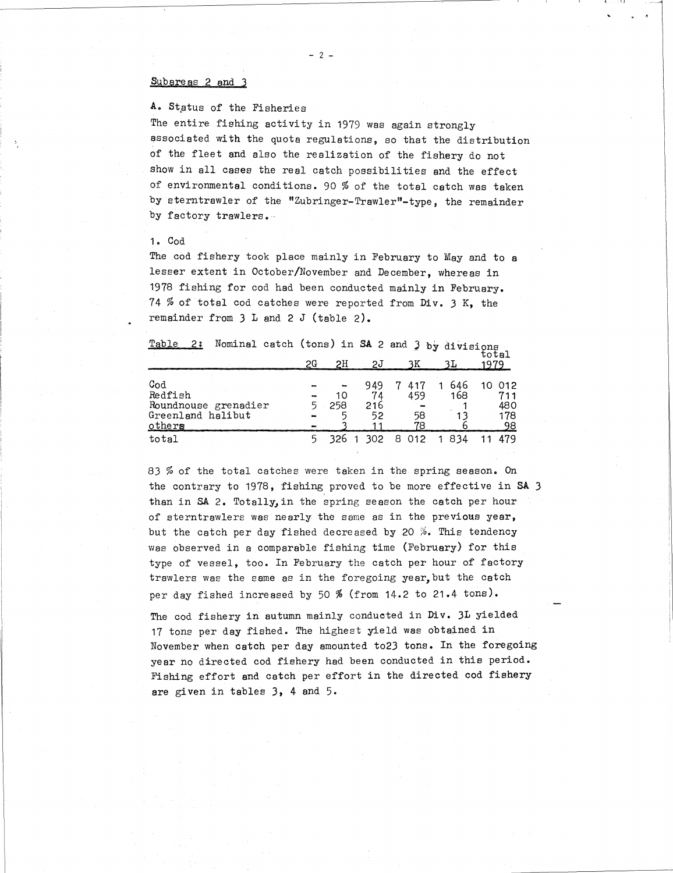#### Subareas 2 and 3

A. Status of the Fisheries

The entire fishing activity in 1979 was again strongly associated with the quota regulations, so that the distribution of the fleet and also the realization of the fishery do not show in all cases the real catch possibilities and the effect of environmental conditions. 90 % of the total catch was taken by sterntrawler of the "Zubringer-Trawler"-type, the remainder by factory trawlers.

### 1. Cod

| one rree, and also the rearrization of the fightly do not<br>show in all cases the real catch possibilities and the effect<br>of environmental conditions. 90 % of the total catch was take<br>by sterntrawler of the "Zubringer-Trawler"-type, the remainde<br>by factory trawlers.<br>1. Cod |    |     |            |                 |         |                  |
|------------------------------------------------------------------------------------------------------------------------------------------------------------------------------------------------------------------------------------------------------------------------------------------------|----|-----|------------|-----------------|---------|------------------|
|                                                                                                                                                                                                                                                                                                |    |     |            |                 |         |                  |
| The cod fishery took place mainly in February to May and to a                                                                                                                                                                                                                                  |    |     |            |                 |         |                  |
| lesser extent in October/November and December, whereas in                                                                                                                                                                                                                                     |    |     |            |                 |         |                  |
| 1978 fishing for cod had been conducted mainly in February.                                                                                                                                                                                                                                    |    |     |            |                 |         |                  |
| 74 % of total cod catches were reported from Div. 3 K, the                                                                                                                                                                                                                                     |    |     |            |                 |         |                  |
| remainder from $3$ L and $2$ J (table $2$ ).                                                                                                                                                                                                                                                   |    |     |            |                 |         |                  |
|                                                                                                                                                                                                                                                                                                |    |     |            |                 |         |                  |
| Nominal catch (tons) in SA 2 and 3 by divisions<br>Table 2:                                                                                                                                                                                                                                    |    |     |            |                 |         |                  |
|                                                                                                                                                                                                                                                                                                |    |     |            |                 |         | total            |
|                                                                                                                                                                                                                                                                                                | 2G | 2H  | <u> 2J</u> | 3K              | 3L      | 1979             |
| Cod                                                                                                                                                                                                                                                                                            |    |     | 949        | 7<br>417        | 1 646   | 10 012           |
| Redfish                                                                                                                                                                                                                                                                                        |    | 10  | 74         | 459             | 168     | 711              |
| Roundnouse grenadier                                                                                                                                                                                                                                                                           | 5  | 258 | 216        |                 |         | 480              |
| Greenland halibut<br>other                                                                                                                                                                                                                                                                     |    |     | 52<br>11   | 58<br>78        | 13<br>6 | 178<br><u>98</u> |
| total                                                                                                                                                                                                                                                                                          | 5. |     |            | 326 1 302 8 012 | 1 8 3 4 | 11 479           |
|                                                                                                                                                                                                                                                                                                |    |     |            |                 |         |                  |
| 83 % of the total catches were taken in the spring season. On                                                                                                                                                                                                                                  |    |     |            |                 |         |                  |
|                                                                                                                                                                                                                                                                                                |    |     |            |                 |         |                  |

83 % of the total catches were taken in the spring season. On the contrary to 1978, fishing proved to be more effective in SA <sup>3</sup> than in SA 2. Totally,in the spring season the catch per hour of sterntrawlers was nearly the same as in the previous year, Table 2: Nominal catch (tons) in SA 2 and 3 by divisions<br>  $26$  2H 2J 3K 3L 1979<br>
Cod<br>  $\begin{array}{r} 26$  2H 2J 3K 3L 1979<br>
Redfish<br>  $\begin{array}{r} 268$  216 216 10 012<br>
Redfish<br>  $\begin{array}{r} 10$  74 459 168 711<br>  $\begin{array}{r} 459$  168 411<br>  $\begin{$ was observed in a comparable fishing time (February) for this type of vessel, too. In February the catch per hour of factory trawlers was the same as in the foregoing year,but the catch per day fished increased by 50 % (from 14.2 to 21.4 tons).

The cod fishery in autumn mainly conducted in Div. 3L yielded 17 tone per day fished. The highest yield was obtained in November when catch per day amounted to23 tons. In the foregoing year no directed cod fishery had been conducted in this period. Fishing effort and catch per effort in the directed cod fishery are given in tables 3, 4 and 5.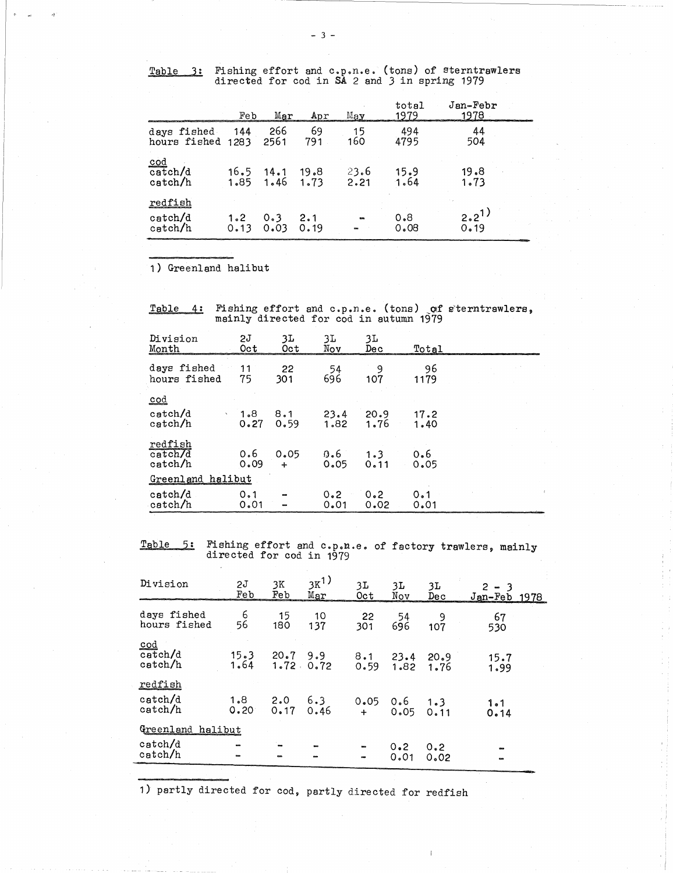- 

|                                                 |              |              | $-3-$        |                 |                                               |                                                      |  |
|-------------------------------------------------|--------------|--------------|--------------|-----------------|-----------------------------------------------|------------------------------------------------------|--|
|                                                 |              |              |              |                 |                                               |                                                      |  |
| Table<br>3:                                     |              |              |              |                 | directed for cod in SA 2 and 3 in spring 1979 | Fishing effort and c.p.n.e. (tons) of sterntrawlers  |  |
|                                                 | Feb          | Mar          | Apr          | $_{\rm May}$    | total<br>1979                                 | $Jan-Febr$<br>1978                                   |  |
| days fished<br>hours fished 1283                | 144          | 266<br>2561  | 69<br>791    | 15<br>160       | 494<br>4795                                   | 44<br>504                                            |  |
| $\overline{\mathtt{cod}}$<br>catch/d<br>catch/h | 16.5<br>1.85 | 14.1<br>1.46 | 19.8<br>1.73 | 23.6<br>2.21    | 15.9<br>1.64                                  | 19.8<br>1.73                                         |  |
| redfish<br>catch/d<br>catch/h                   | 1.2<br>0.13  | 0.3<br>0.03  | 2.1<br>0.19  |                 | 0.8<br>0.08                                   | $2.2^{1}$<br>0.19                                    |  |
|                                                 |              |              |              |                 |                                               |                                                      |  |
| 1) Greenland halibut                            |              |              |              |                 |                                               |                                                      |  |
| Table<br>4:                                     |              |              |              |                 | mainly directed for cod in autumn 1979        | Fishing effort and c.p.n.e. (tons) of sterntrawlers, |  |
| Division<br>Month                               | 51<br>Oct    | 3L<br>Oct    | 3L<br>Nov    | 3L<br>Dec       | Total                                         |                                                      |  |
| days fished<br>hours fished                     | 11<br>75     | 22<br>301.   | 696.         | 54<br>9<br>107. | 96<br>1179                                    |                                                      |  |

| redfish<br>catch/d<br>catch/h          | 1.2<br>0.13 | 0.3<br>0.03    | 2.1<br>0.19              |              | 0.8<br>0.08                            | 2.2 <sup>1</sup><br>0.19                                |
|----------------------------------------|-------------|----------------|--------------------------|--------------|----------------------------------------|---------------------------------------------------------|
|                                        |             |                |                          |              |                                        |                                                         |
| 1) Greenland halibut                   |             |                |                          |              |                                        |                                                         |
|                                        |             |                |                          |              |                                        |                                                         |
| Table 4:                               |             |                |                          |              | mainly directed for cod in autumn 1979 | Fishing effort and c.p.n.e. (tons) of sterntrawlers,    |
| Division<br>Month                      | 2J<br>Oct   | 3L<br>Oct      | 3L<br>Nov                | 3L<br>Dec    | Total                                  |                                                         |
| days fished<br>hours fished            | 11<br>75    | 22<br>301      | 54<br>696                | 9<br>107     | 96<br>1179                             |                                                         |
| $\mathbf{cod}$                         |             |                |                          |              |                                        |                                                         |
| $\texttt{catch}/\texttt{d}$<br>catch/h | 1.8<br>0.27 | 8.1<br>0.59    | 23.4<br>1.82             | 20.9<br>1.76 | 17.2<br>1.40                           |                                                         |
| redfish<br>catch/d<br>catch/h          | 0.6<br>0.09 | 0.05<br>$\div$ | 0.6<br>0.05              | 1.3<br>0.11  | 0.6<br>0.05                            |                                                         |
| Greenland halibut                      |             |                |                          |              |                                        |                                                         |
| catch/d<br>$\text{catch}/\text{h}$     | 0.1<br>0.01 |                | 0.2<br>0.01              | 0.2<br>0.02  | 0.1<br>0.01                            |                                                         |
|                                        |             |                |                          |              |                                        |                                                         |
| Table<br>5:                            |             |                | directed for cod in 1979 |              |                                        | Fishing effort and c.p.n.e. of factory trawlers, mainly |
| Division                               | 2J<br>Feb   | 3K<br>Feb      | $3K^{1}$<br>Mar          | 3L<br>Oct    | 3L<br>3L<br>Nov<br>Dec                 | $2 - 3$<br>Jan-Feb 1978                                 |
| days fished<br>hours fished            | 6<br>56     | 15<br>180      | 10<br>137                | 22<br>301    | 54<br>696<br>107                       | 9<br>67<br>530                                          |
|                                        |             |                |                          |              |                                        |                                                         |

| catch/h                                                 | 0.09                     | $\div$    | 0.05                         | 0.11        |                         | 0.05              |                                                         |
|---------------------------------------------------------|--------------------------|-----------|------------------------------|-------------|-------------------------|-------------------|---------------------------------------------------------|
| Greenland halibut                                       |                          |           |                              |             |                         |                   |                                                         |
| catch/d<br>catch/h                                      | 0.1<br>0.01              |           | 0.2<br>0.01                  | 0.2<br>0.02 |                         | 0.1<br>0.01       |                                                         |
|                                                         |                          |           |                              |             |                         |                   |                                                         |
| Table 5:                                                | directed for cod in 1979 |           |                              |             |                         |                   | Fishing effort and c.p.n.e. of factory trawlers, mainly |
| Division                                                | 2J<br>Feb                | 3K<br>Feb | $3K^{1}$<br>Mar              | 3L.<br>0ct  | 3L<br>Nov               | 3L<br>Dec         | $2 - 3$<br>Jan-Feb 1978                                 |
| days fished<br>hours fished                             | $6^{\circ}$<br>56        | 15<br>180 | 10<br>137                    | 22<br>301   | 54<br>696               | 9<br>107          | 67<br>530                                               |
| $\underline{\text{cod}}$<br>catch/d<br>catch/h          | 1.64                     | 1.72.0.72 | $15.3$ 20.7 9.9              | 0.59        | $8.1$ 23.4 20.9<br>1.82 | 1.76              | 15.7<br>1.99                                            |
| <u>redfish</u><br>catch/d<br>catch/h                    | 0.20                     |           | $1.8$ 2.0 6.3<br>$0.17$ 0.46 | 0.05<br>$+$ | 0.05                    | $0.6$ 1.3<br>0.11 | 1.1<br>0.14                                             |
| Greenland halibut                                       |                          |           |                              |             |                         |                   |                                                         |
| catch/d<br>catch/h                                      |                          |           |                              |             | 0.2<br>0.01             | 0.2<br>0.02       |                                                         |
| 1) partly directed for cod, partly directed for redfish |                          |           |                              |             |                         |                   |                                                         |

1) partly directed for cod, partly directed for redfish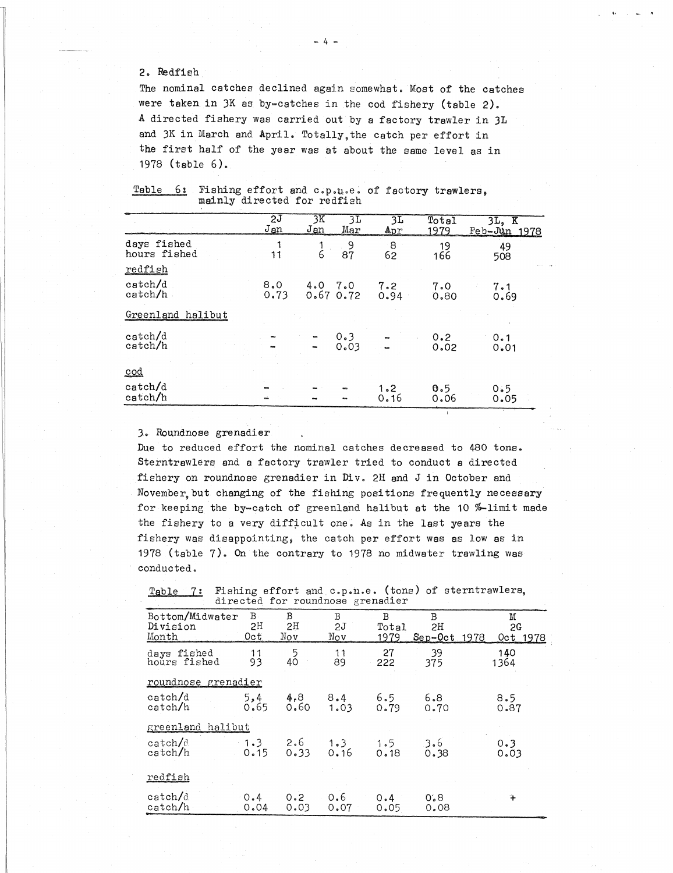## 2. Redfieh

 

| The nominal catches declined again somewhat. Most of the catches<br>were taken in 3K as by-catches in the cod fishery (table 2).<br>A directed fishery was carried out by a factory trawler in 3L<br>and 3K in March and April. Totally, the catch per effort in<br>the first half of the year was at about the same level as in<br>1978 (table $6$ ).<br>Table<br>6:<br>Fishing effort and c.p.u.e. of factory trawlers, |             |        |                 |             |             |                |
|---------------------------------------------------------------------------------------------------------------------------------------------------------------------------------------------------------------------------------------------------------------------------------------------------------------------------------------------------------------------------------------------------------------------------|-------------|--------|-----------------|-------------|-------------|----------------|
| mainly directed for redfish                                                                                                                                                                                                                                                                                                                                                                                               | 2J          | 3K     | 3L              | 3L          | Total       | $3L$ , $K$     |
|                                                                                                                                                                                                                                                                                                                                                                                                                           | Jan         | Jan    | Mar             | Apr         | 1979        | $Feb-Uan$ 1978 |
| days fished<br>hours fished                                                                                                                                                                                                                                                                                                                                                                                               | 1<br>11     | 1<br>6 | 9<br>87         | 8<br>62     | 19<br>166   | 49<br>508      |
| redfish<br>catch/d                                                                                                                                                                                                                                                                                                                                                                                                        | 8.0<br>0.73 | 4.0    | 7.0<br>0.670.72 | 7.2<br>0.94 | 7.0<br>0.80 | 7.1<br>0.69    |
| $\text{catch}/\text{h}$                                                                                                                                                                                                                                                                                                                                                                                                   |             |        |                 |             |             |                |
| Greenland halibut                                                                                                                                                                                                                                                                                                                                                                                                         |             |        |                 |             |             |                |
| catch/d<br>catch/h<br>cod                                                                                                                                                                                                                                                                                                                                                                                                 |             |        | 0.3<br>0.03     |             | 0.2<br>0.02 | 0.1<br>0.01    |

Due to reduced effort the nominal catches decreased to 480 tons. Sterntrawlers and a factory trawler tried to conduct a directed fishery on roundnose grenadier in Div. 2H and J in October and November, but changing of the fishing positions frequently necessary for keeping the by-catch of greenland halibut at the 10 %-limit made the fishery to a very difficult one. As in the last years the fishery was disappointing, the catch per effort was as low as in 1978 (table 7). On the contrary to 1978 no midwater trawling was conducted. or keeping the by-c<br>
e fishery to a ver<br>
shery was disappoi<br>
78 (table 7). On t<br>
mducted.<br>
<u>Table 7</u>: Fishing<br>
directed<br>
Bottom/Midwater B<br>
Division 2!<br>
Month 0ct<br>
daws fished 1 Roundnose grenadie:<br>
e to reduced effort<br>
erntrawlers and a f.<br>
shery on roundnose<br>
wember, but changing<br>
pr keeping the by-ca<br>
e fishery to a very<br>
shery was disappoin<br>
78 (table 7). On the<br>
mducted.<br>
Table 7: Fishing dir e to reduced effort<br>
erntrawlers and a f<br>
shery on roundnose<br>
vember, but changing<br>
pr keeping the by-ce<br>
e fishery to a very<br>
shery was disappoir<br>
78 (table 7). On the<br>
mducted.<br>
<u>Table 7:</u> Fishing<br>
directed<br>
Bottom/Midwa catches decreased to 480 tons.<br>
er tried to conduct a directed<br>
Div. 2H and J in October and<br>
ing positions frequently necess<br>
lland halibut at the 10 %-limit<br>
ne. As in the last years the<br>
toh per effort was as low as in catches decreased to 480 tons.<br>
er tried to conduct a directed<br>
Div. 2H and J in October and<br>
ing positions frequently necess.<br>
land halibut at the 10 %-limit i<br>
ne. As in the last years the<br>
tch per effort was as low as i Nov de to reduced effort the nominal catches decreased to 480 tons<br>erntrawlers and a factory trawler tried to conduct a directed<br>ehery on roundnose grenadier in Div. 2H and J in October and<br>vember, but changing of the fishing

| ovember but changing of the fishing positions frequently necessary<br>or keeping the by-catch of greenland halibut at the 10 %-limit made<br>ne fishery to a very difficult one. As in the last years the<br>ishery was disappointing, the catch per effort was as low as in<br>978 (table 7). On the contrary to 1978 no midwater trawling was<br>onducted. |                              |                |                |                                  |                           |                                                      |
|--------------------------------------------------------------------------------------------------------------------------------------------------------------------------------------------------------------------------------------------------------------------------------------------------------------------------------------------------------------|------------------------------|----------------|----------------|----------------------------------|---------------------------|------------------------------------------------------|
| Table 7:                                                                                                                                                                                                                                                                                                                                                     |                              |                |                | directed for roundnose grenadier |                           | Fishing effort and c.p.u.e. (tons) of sterntrawlers, |
| Bottom/Midwater<br>Division<br>Month                                                                                                                                                                                                                                                                                                                         | $\mathbf{B}$ .<br>2H<br>Oct. | В<br>2H<br>Nov | B<br>2J<br>Nov | B<br>Total<br>1979               | B<br>2H<br>$Sep-Oct$ 1978 | M<br>2G<br>Oct 1978                                  |
| days fished<br>hours fished                                                                                                                                                                                                                                                                                                                                  | 11<br>93                     | 5<br>40        | 11<br>89       | 27<br>222                        | 39<br>375                 | 140<br>1364                                          |
| roundnose grenadier<br>$\text{catch}/\text{d}$<br>catch/h                                                                                                                                                                                                                                                                                                    | 5,4<br>0.65                  | 4.8<br>0.60    | 8.4<br>1.03    | 6.5<br>0.79                      | 6.8<br>0.70               | 8.5<br>0.87                                          |
| greenland halibut                                                                                                                                                                                                                                                                                                                                            |                              |                |                |                                  |                           |                                                      |
| catch/d<br>catch/h                                                                                                                                                                                                                                                                                                                                           | $-1.3 -$<br>0.15             | 2.6<br>0.33    | 1.3<br>0.16    | 1.5<br>0.18                      | 3.6<br>0.38               | 0.3<br>0.03                                          |
| redfish                                                                                                                                                                                                                                                                                                                                                      |                              |                |                |                                  |                           |                                                      |
| catch/d<br>catch/h                                                                                                                                                                                                                                                                                                                                           | 0.4<br>0.04                  | 0.2<br>0.03    | 0.6<br>0.07    | 0.4<br>0.05                      | 0.8<br>0.08               | ÷                                                    |
|                                                                                                                                                                                                                                                                                                                                                              |                              |                |                |                                  |                           |                                                      |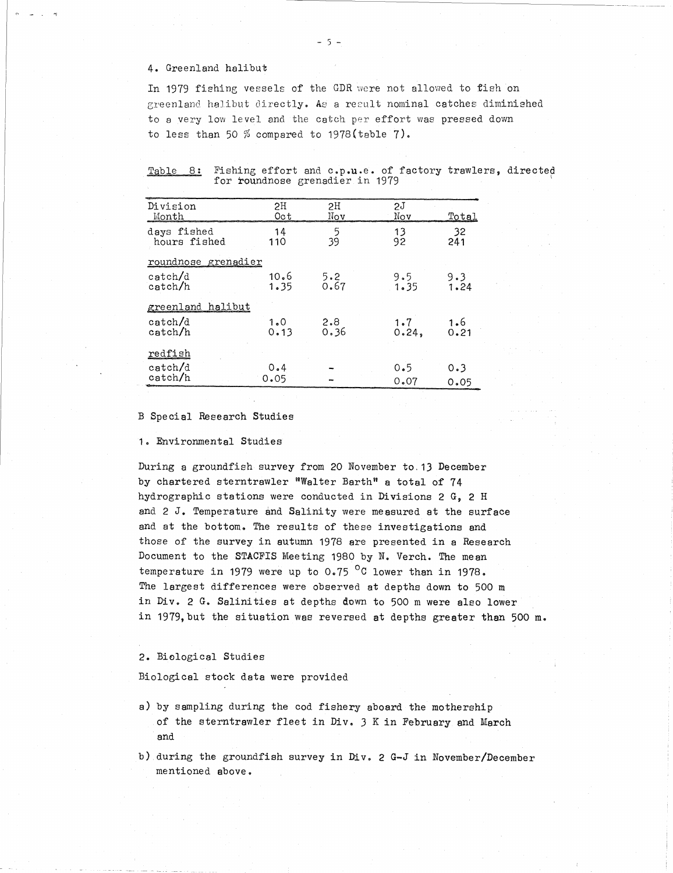#### 4. Greenland halibut

 

In 1979 fishing vessels of the GDR were not allowed to fish on greenland halibut directly. As a result nominal catches diminished to a very low level and the catch per effort was pressed down to less than 50 % compared to 1978(table 7).

|  | Table 8: Fishing effort and c.p.u.e. of factory trawlers, directed |  |  |  |
|--|--------------------------------------------------------------------|--|--|--|
|  | for roundnose grenadier in 1979                                    |  |  |  |

|                                                                                                                                                                                                                                                     |                   | $-5 -$                                |                                                |                    |
|-----------------------------------------------------------------------------------------------------------------------------------------------------------------------------------------------------------------------------------------------------|-------------------|---------------------------------------|------------------------------------------------|--------------------|
| 4. Greenland halibut                                                                                                                                                                                                                                |                   |                                       |                                                |                    |
| In 1979 fishing vessels of the GDR were not allowed to fi<br>greenland halibut directly. As a result nominal catches d<br>to a very low level and the catch per effort was pressed<br>to less than 50 $%$ compared to 1978(table 7).<br>Table<br>8: |                   |                                       | Fishing effort and c.p.u.e. of factory trawler |                    |
| Division                                                                                                                                                                                                                                            | 2H                | for roundnose grenadier in 1979<br>2H | 2J                                             |                    |
| Month<br>days fished<br>hours fished                                                                                                                                                                                                                | 0c t<br>14<br>110 | Nov<br>5<br>39                        | Nov<br>13<br>92                                | Total<br>32<br>241 |
| roundnose grenadier                                                                                                                                                                                                                                 |                   |                                       |                                                |                    |
| catch/d<br>catch/h                                                                                                                                                                                                                                  | 10.6<br>1.35      | 5.2<br>0.67                           | 9.5<br>1.35                                    | 9.3<br>1.24        |
| greenland halibut                                                                                                                                                                                                                                   |                   |                                       |                                                |                    |
| $\text{catch}/\text{d}$<br>catch/h                                                                                                                                                                                                                  | 1.0<br>0.13       | 2.8<br>0.36                           | 1.7<br>0.24,                                   | 1.6<br>0.21        |
| redfish                                                                                                                                                                                                                                             |                   |                                       |                                                |                    |
| catch/d<br>catch/h                                                                                                                                                                                                                                  | 0.4<br>0.05       |                                       | 0.5<br>0.07                                    | 0.3<br>0.05        |
| Special Research Studies<br>. Environmental Studies                                                                                                                                                                                                 |                   |                                       |                                                |                    |

B Special Research Studies

Environmental Studies

During a groundfish survey from 20 November to. 13 December by chartered sterntrawler "Walter Barth" a total of 74 hydrographic stations were conducted in Divisions 2 G, 2 H and 2 *J.* Temperature and Salinity were measured at the surface and at the bottom. The results of these investigations and those of the survey in autumn 1978 are presented in a Research Document to the STACFIS Meeting 1980 by N. Verch. The mean temperature in 1979 were up to  $0.75$  <sup>o</sup>C lower than in 1978. The largest differences were observed at depths down to 500 m in Div. 2 G. Salinities at depths down to 500 m were also lower in 1979,but the situation was reversed at depths greater than 500 m.

2. Biological Studies

Biological stock data were provided

- a) by sampling during the cod fishery aboard the mothership of the sterntrawler fleet in Div. 3 K in February and March and
- during the groundfish survey in Div. 2 G-J in November/December mentioned above.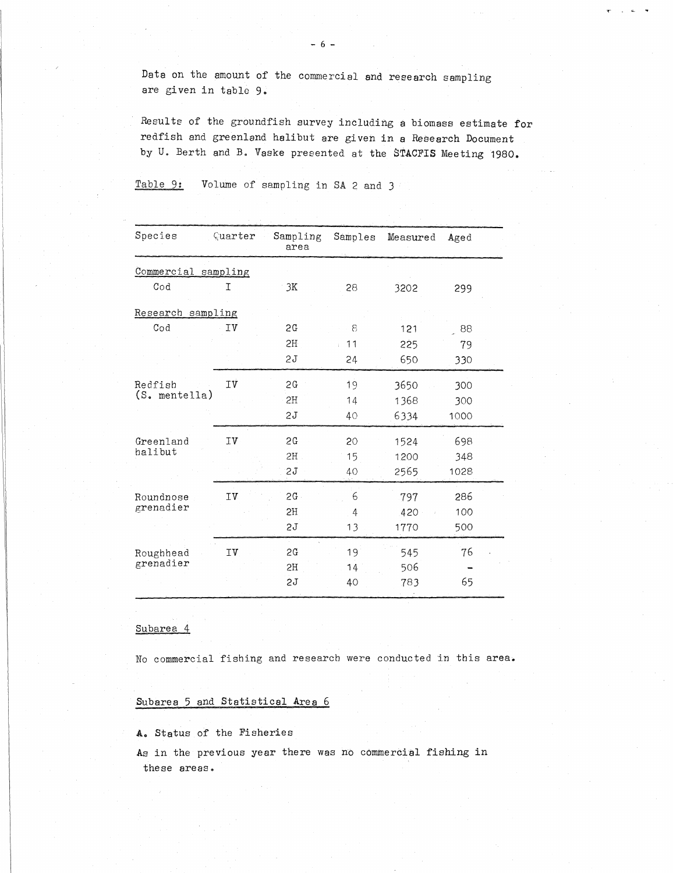Results of the groundfish survey including a biomass estimate for redfish and greenland halibut are given in a Research Document by U. Berth and B. Vaske presented at the STACFIS Meeting 1980. -6 -<br>Data on the amount of the commercial and r<br>are given in table 9.<br>Results of the groundfish survey including<br>redfish and greenland halibut are given in<br>by U. Berth and B. Vaske presented at the is<br>Table 9: Volume of sa

| Data on the amount of the commercial and research sampling<br>are given in table 9.                                                                                                             |         |                                  |         |          |      |
|-------------------------------------------------------------------------------------------------------------------------------------------------------------------------------------------------|---------|----------------------------------|---------|----------|------|
| Results of the groundfish survey including a biomass estimate<br>redfish and greenland halibut are given in a Research Documen<br>by U. Berth and B. Vaske presented at the STACFIS Meeting 198 |         |                                  |         |          |      |
| Table 9:                                                                                                                                                                                        |         | Volume of sampling in SA 2 and 3 |         |          |      |
|                                                                                                                                                                                                 |         |                                  |         |          |      |
| Species                                                                                                                                                                                         | Quarter | Sampling<br>area                 | Samples | Measured | Aged |
| Commercial sampling                                                                                                                                                                             |         |                                  |         |          |      |
| $\texttt{Cod}$                                                                                                                                                                                  | I       | 3K                               | 28      | 3202     | 299  |
| Research sampling                                                                                                                                                                               |         |                                  |         |          |      |
| $\texttt{Cod}$                                                                                                                                                                                  | Iν      | 2G                               | 8       | 121      | 88   |
|                                                                                                                                                                                                 |         | 2H                               | . 11    | 225      | 79   |
|                                                                                                                                                                                                 |         | 2J                               | 24      | 650      | 330  |
| Redfish                                                                                                                                                                                         | Iν      | 2G                               | 19      | 3650     | 300  |
| (S. mentella)                                                                                                                                                                                   |         | 2H                               | 14      | 1368     | 300  |
|                                                                                                                                                                                                 |         | 2J                               | 40      | 6334     | 1000 |
| Greenland                                                                                                                                                                                       | ΙV      | SG                               | 20      | 1524     | 698  |
| halibut                                                                                                                                                                                         |         | 2H                               | 15      | 1200     | 348  |
|                                                                                                                                                                                                 |         | 2J                               | 40      | 2565     | 1028 |
| Roundnose                                                                                                                                                                                       | IV      | 2G                               | 6       | 797      | 286  |
| grenadier                                                                                                                                                                                       |         | 2H                               | 4       | 420      | 100  |
|                                                                                                                                                                                                 |         | 2J                               | 13      | 1770     | 500  |
| Roughhead                                                                                                                                                                                       | IV      | 2G                               | 19      | 545      | 76   |
| grenadier                                                                                                                                                                                       |         | SH                               | 14      | 506      |      |
|                                                                                                                                                                                                 |         | S1                               | 40      | 783      | 65   |

#### Subarea 4

No commercial fishing and research were conducted in this area.

## Subarea 5 and Statistical Area 6

A. Status of the Fisheries

As in the previous year there was no commercial fishing in these areas.